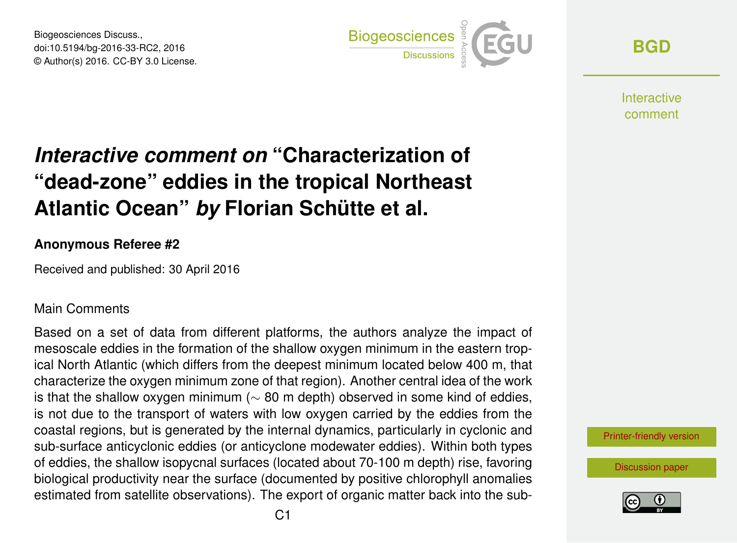Biogeosciences Discuss., doi:10.5194/bg-2016-33-RC2, 2016 © Author(s) 2016. CC-BY 3.0 License.



**[BGD](http://www.biogeosciences-discuss.net/)**

**Interactive** comment

## *Interactive comment on* **"Characterization of "dead-zone" eddies in the tropical Northeast Atlantic Ocean"** *by* **Florian Schütte et al.**

## **Anonymous Referee #2**

Received and published: 30 April 2016

## Main Comments

Based on a set of data from different platforms, the authors analyze the impact of mesoscale eddies in the formation of the shallow oxygen minimum in the eastern tropical North Atlantic (which differs from the deepest minimum located below 400 m, that characterize the oxygen minimum zone of that region). Another central idea of the work is that the shallow oxygen minimum ( $\sim$  80 m depth) observed in some kind of eddies, is not due to the transport of waters with low oxygen carried by the eddies from the coastal regions, but is generated by the internal dynamics, particularly in cyclonic and sub-surface anticyclonic eddies (or anticyclone modewater eddies). Within both types of eddies, the shallow isopycnal surfaces (located about 70-100 m depth) rise, favoring biological productivity near the surface (documented by positive chlorophyll anomalies estimated from satellite observations). The export of organic matter back into the sub-



[Discussion paper](http://www.biogeosciences-discuss.net/bg-2016-33)

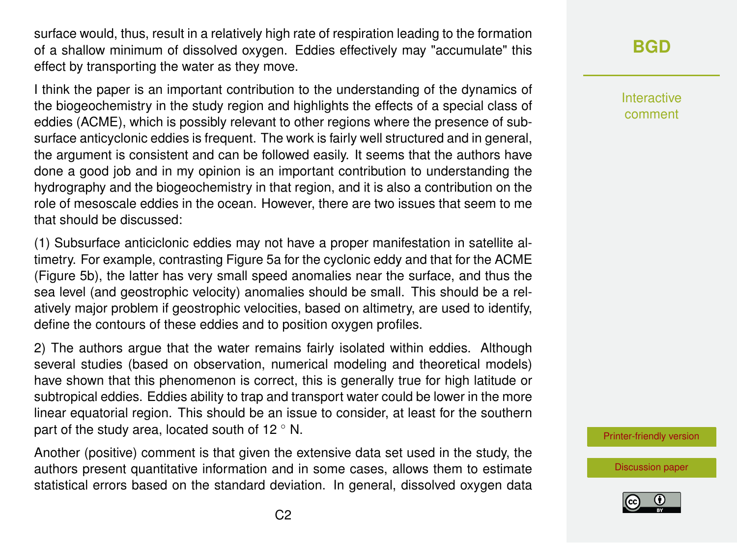surface would, thus, result in a relatively high rate of respiration leading to the formation of a shallow minimum of dissolved oxygen. Eddies effectively may "accumulate" this effect by transporting the water as they move.

I think the paper is an important contribution to the understanding of the dynamics of the biogeochemistry in the study region and highlights the effects of a special class of eddies (ACME), which is possibly relevant to other regions where the presence of subsurface anticyclonic eddies is frequent. The work is fairly well structured and in general, the argument is consistent and can be followed easily. It seems that the authors have done a good job and in my opinion is an important contribution to understanding the hydrography and the biogeochemistry in that region, and it is also a contribution on the role of mesoscale eddies in the ocean. However, there are two issues that seem to me that should be discussed:

(1) Subsurface anticiclonic eddies may not have a proper manifestation in satellite altimetry. For example, contrasting Figure 5a for the cyclonic eddy and that for the ACME (Figure 5b), the latter has very small speed anomalies near the surface, and thus the sea level (and geostrophic velocity) anomalies should be small. This should be a relatively major problem if geostrophic velocities, based on altimetry, are used to identify, define the contours of these eddies and to position oxygen profiles.

2) The authors argue that the water remains fairly isolated within eddies. Although several studies (based on observation, numerical modeling and theoretical models) have shown that this phenomenon is correct, this is generally true for high latitude or subtropical eddies. Eddies ability to trap and transport water could be lower in the more linear equatorial region. This should be an issue to consider, at least for the southern part of the study area, located south of 12 $\degree$  N.

Another (positive) comment is that given the extensive data set used in the study, the authors present quantitative information and in some cases, allows them to estimate statistical errors based on the standard deviation. In general, dissolved oxygen data Interactive comment

[Printer-friendly version](http://www.biogeosciences-discuss.net/bg-2016-33/bg-2016-33-RC2-print.pdf)

[Discussion paper](http://www.biogeosciences-discuss.net/bg-2016-33)